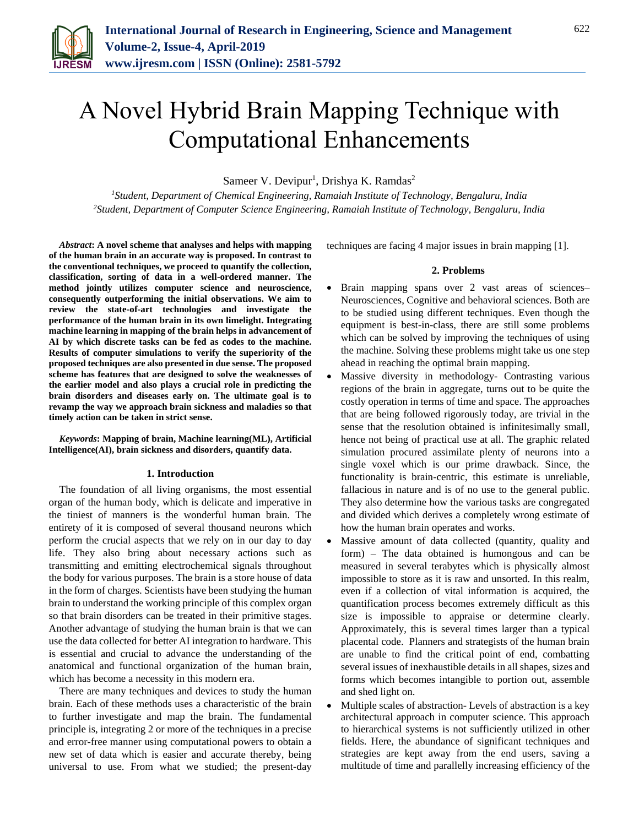

# A Novel Hybrid Brain Mapping Technique with Computational Enhancements

Sameer V. Devipur<sup>1</sup>, Drishya K. Ramdas<sup>2</sup>

*<sup>1</sup>Student, Department of Chemical Engineering, Ramaiah Institute of Technology, Bengaluru, India 2Student, Department of Computer Science Engineering, Ramaiah Institute of Technology, Bengaluru, India*

*Abstract***: A novel scheme that analyses and helps with mapping of the human brain in an accurate way is proposed. In contrast to the conventional techniques, we proceed to quantify the collection, classification, sorting of data in a well-ordered manner. The method jointly utilizes computer science and neuroscience, consequently outperforming the initial observations. We aim to review the state-of-art technologies and investigate the performance of the human brain in its own limelight. Integrating machine learning in mapping of the brain helps in advancement of AI by which discrete tasks can be fed as codes to the machine. Results of computer simulations to verify the superiority of the proposed techniques are also presented in due sense. The proposed scheme has features that are designed to solve the weaknesses of the earlier model and also plays a crucial role in predicting the brain disorders and diseases early on. The ultimate goal is to revamp the way we approach brain sickness and maladies so that timely action can be taken in strict sense.**

*Keywords***: Mapping of brain, Machine learning(ML), Artificial Intelligence(AI), brain sickness and disorders, quantify data.**

# **1. Introduction**

The foundation of all living organisms, the most essential organ of the human body, which is delicate and imperative in the tiniest of manners is the wonderful human brain. The entirety of it is composed of several thousand neurons which perform the crucial aspects that we rely on in our day to day life. They also bring about necessary actions such as transmitting and emitting electrochemical signals throughout the body for various purposes. The brain is a store house of data in the form of charges. Scientists have been studying the human brain to understand the working principle of this complex organ so that brain disorders can be treated in their primitive stages. Another advantage of studying the human brain is that we can use the data collected for better AI integration to hardware. This is essential and crucial to advance the understanding of the anatomical and functional organization of the human brain, which has become a necessity in this modern era.

There are many techniques and devices to study the human brain. Each of these methods uses a characteristic of the brain to further investigate and map the brain. The fundamental principle is, integrating 2 or more of the techniques in a precise and error-free manner using computational powers to obtain a new set of data which is easier and accurate thereby, being universal to use. From what we studied; the present-day techniques are facing 4 major issues in brain mapping [1].

# **2. Problems**

- Brain mapping spans over 2 vast areas of sciences– Neurosciences, Cognitive and behavioral sciences. Both are to be studied using different techniques. Even though the equipment is best-in-class, there are still some problems which can be solved by improving the techniques of using the machine. Solving these problems might take us one step ahead in reaching the optimal brain mapping.
- Massive diversity in methodology- Contrasting various regions of the brain in aggregate, turns out to be quite the costly operation in terms of time and space. The approaches that are being followed rigorously today, are trivial in the sense that the resolution obtained is infinitesimally small, hence not being of practical use at all. The graphic related simulation procured assimilate plenty of neurons into a single voxel which is our prime drawback. Since, the functionality is brain-centric, this estimate is unreliable, fallacious in nature and is of no use to the general public. They also determine how the various tasks are congregated and divided which derives a completely wrong estimate of how the human brain operates and works.
- Massive amount of data collected (quantity, quality and form) – The data obtained is humongous and can be measured in several terabytes which is physically almost impossible to store as it is raw and unsorted. In this realm, even if a collection of vital information is acquired, the quantification process becomes extremely difficult as this size is impossible to appraise or determine clearly. Approximately, this is several times larger than a typical placental code. Planners and strategists of the human brain are unable to find the critical point of end, combatting several issues of inexhaustible details in all shapes, sizes and forms which becomes intangible to portion out, assemble and shed light on.
- Multiple scales of abstraction- Levels of abstraction is a key architectural approach in computer science. This approach to hierarchical systems is not sufficiently utilized in other fields. Here, the abundance of significant techniques and strategies are kept away from the end users, saving a multitude of time and parallelly increasing efficiency of the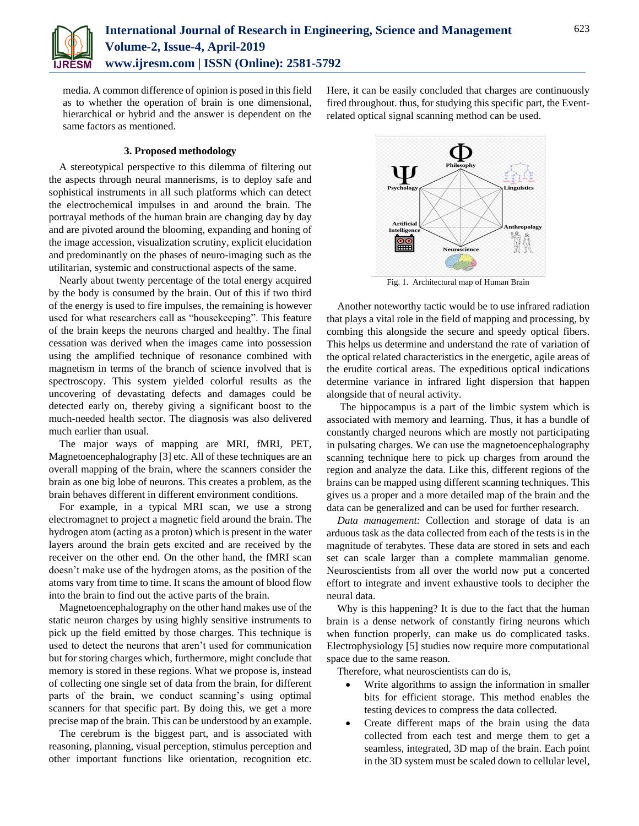

media. A common difference of opinion is posed in this field as to whether the operation of brain is one dimensional, hierarchical or hybrid and the answer is dependent on the same factors as mentioned.

# **3. Proposed methodology**

A stereotypical perspective to this dilemma of filtering out the aspects through neural mannerisms, is to deploy safe and sophistical instruments in all such platforms which can detect the electrochemical impulses in and around the brain. The portrayal methods of the human brain are changing day by day and are pivoted around the blooming, expanding and honing of the image accession, visualization scrutiny, explicit elucidation and predominantly on the phases of neuro-imaging such as the utilitarian, systemic and constructional aspects of the same.

Nearly about twenty percentage of the total energy acquired by the body is consumed by the brain. Out of this if two third of the energy is used to fire impulses, the remaining is however used for what researchers call as "housekeeping". This feature of the brain keeps the neurons charged and healthy. The final cessation was derived when the images came into possession using the amplified technique of resonance combined with magnetism in terms of the branch of science involved that is spectroscopy. This system yielded colorful results as the uncovering of devastating defects and damages could be detected early on, thereby giving a significant boost to the much-needed health sector. The diagnosis was also delivered much earlier than usual.

The major ways of mapping are MRI, fMRI, PET, Magnetoencephalography [3] etc. All of these techniques are an overall mapping of the brain, where the scanners consider the brain as one big lobe of neurons. This creates a problem, as the brain behaves different in different environment conditions.

For example, in a typical MRI scan, we use a strong electromagnet to project a magnetic field around the brain. The hydrogen atom (acting as a proton) which is present in the water layers around the brain gets excited and are received by the receiver on the other end. On the other hand, the fMRI scan doesn't make use of the hydrogen atoms, as the position of the atoms vary from time to time. It scans the amount of blood flow into the brain to find out the active parts of the brain.

Magnetoencephalography on the other hand makes use of the static neuron charges by using highly sensitive instruments to pick up the field emitted by those charges. This technique is used to detect the neurons that aren't used for communication but for storing charges which, furthermore, might conclude that memory is stored in these regions. What we propose is, instead of collecting one single set of data from the brain, for different parts of the brain, we conduct scanning's using optimal scanners for that specific part. By doing this, we get a more precise map of the brain. This can be understood by an example.

The cerebrum is the biggest part, and is associated with reasoning, planning, visual perception, stimulus perception and other important functions like orientation, recognition etc.

Here, it can be easily concluded that charges are continuously fired throughout. thus, for studying this specific part, the Eventrelated optical signal scanning method can be used.



Fig. 1. Architectural map of Human Brain

Another noteworthy tactic would be to use infrared radiation that plays a vital role in the field of mapping and processing, by combing this alongside the secure and speedy optical fibers. This helps us determine and understand the rate of variation of the optical related characteristics in the energetic, agile areas of the erudite cortical areas. The expeditious optical indications determine variance in infrared light dispersion that happen alongside that of neural activity.

The hippocampus is a part of the limbic system which is associated with memory and learning. Thus, it has a bundle of constantly charged neurons which are mostly not participating in pulsating charges. We can use the magnetoencephalography scanning technique here to pick up charges from around the region and analyze the data. Like this, different regions of the brains can be mapped using different scanning techniques. This gives us a proper and a more detailed map of the brain and the data can be generalized and can be used for further research.

*Data management:* Collection and storage of data is an arduous task as the data collected from each of the tests is in the magnitude of terabytes. These data are stored in sets and each set can scale larger than a complete mammalian genome. Neuroscientists from all over the world now put a concerted effort to integrate and invent exhaustive tools to decipher the neural data.

Why is this happening? It is due to the fact that the human brain is a dense network of constantly firing neurons which when function properly, can make us do complicated tasks. Electrophysiology [5] studies now require more computational space due to the same reason.

Therefore, what neuroscientists can do is,

- Write algorithms to assign the information in smaller bits for efficient storage. This method enables the testing devices to compress the data collected.
- Create different maps of the brain using the data collected from each test and merge them to get a seamless, integrated, 3D map of the brain. Each point in the 3D system must be scaled down to cellular level,